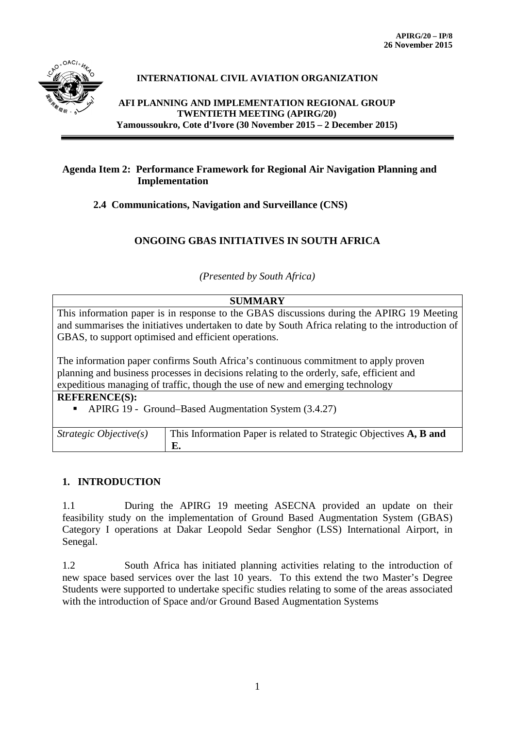

# **INTERNATIONAL CIVIL AVIATION ORGANIZATION**

**AFI PLANNING AND IMPLEMENTATION REGIONAL GROUP TWENTIETH MEETING (APIRG/20) Yamoussoukro, Cote d'Ivore (30 November 2015 – 2 December 2015)**

## **Agenda Item 2: Performance Framework for Regional Air Navigation Planning and Implementation**

**2.4 Communications, Navigation and Surveillance (CNS)**

# **ONGOING GBAS INITIATIVES IN SOUTH AFRICA**

*(Presented by South Africa)*

#### **SUMMARY**

This information paper is in response to the GBAS discussions during the APIRG 19 Meeting and summarises the initiatives undertaken to date by South Africa relating to the introduction of GBAS, to support optimised and efficient operations.

The information paper confirms South Africa's continuous commitment to apply proven planning and business processes in decisions relating to the orderly, safe, efficient and expeditious managing of traffic, though the use of new and emerging technology

**REFERENCE(S):** 

APIRG 19 - Ground–Based Augmentation System (3.4.27)

| Strategic Objective $(s)$ | This Information Paper is related to Strategic Objectives A, B and |
|---------------------------|--------------------------------------------------------------------|
|                           | Е.                                                                 |

## **1. INTRODUCTION**

1.1 During the APIRG 19 meeting ASECNA provided an update on their feasibility study on the implementation of Ground Based Augmentation System (GBAS) Category I operations at Dakar Leopold Sedar Senghor (LSS) International Airport, in Senegal.

1.2 South Africa has initiated planning activities relating to the introduction of new space based services over the last 10 years. To this extend the two Master's Degree Students were supported to undertake specific studies relating to some of the areas associated with the introduction of Space and/or Ground Based Augmentation Systems